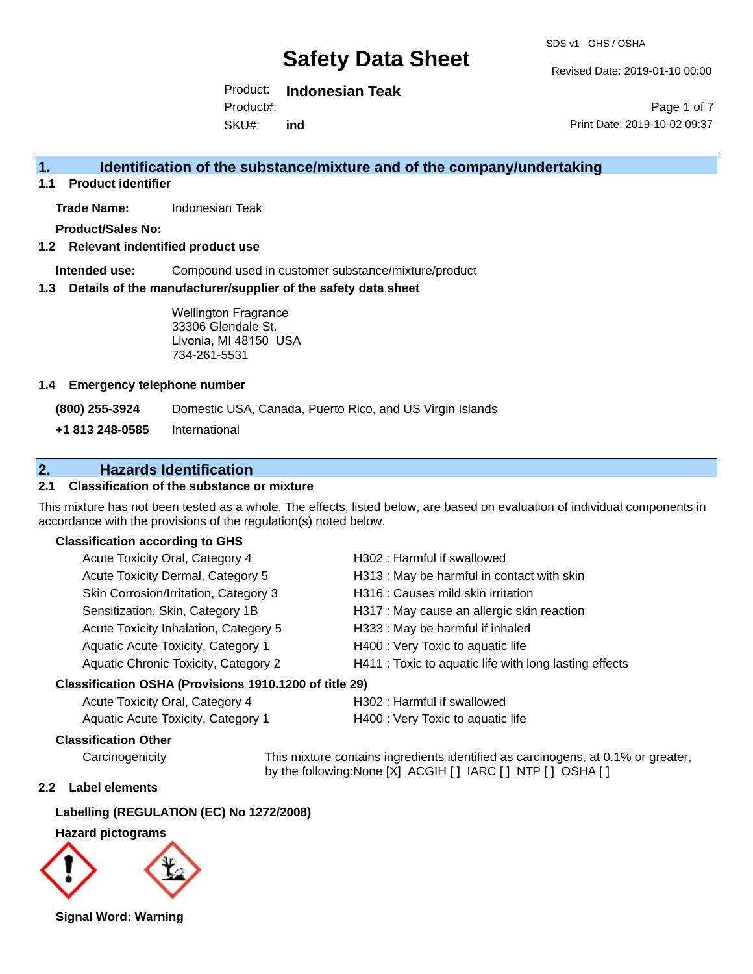Revised Date: 2019-01-10 00:00

Product: **Indonesian Teak**  Product#:

SKU#: **ind**

Page 1 of 7 Print Date: 2019-10-02 09:37

# **1. Identification of the substance/mixture and of the company/undertaking**

**1.1 Product identifier**

**Trade Name:** Indonesian Teak

**Product/Sales No:**

### **1.2 Relevant indentified product use**

**Intended use:** Compound used in customer substance/mixture/product

#### **1.3 Details of the manufacturer/supplier of the safety data sheet**

Wellington Fragrance 33306 Glendale St. Livonia, MI 48150 USA 734-261-5531

#### **1.4 Emergency telephone number**

**(800) 255-3924** Domestic USA, Canada, Puerto Rico, and US Virgin Islands

**+1 813 248-0585** International

# **2. Hazards Identification**

## **2.1 Classification of the substance or mixture**

This mixture has not been tested as a whole. The effects, listed below, are based on evaluation of individual components in accordance with the provisions of the regulation(s) noted below.

#### **Classification according to GHS**

| Acute Toxicity Oral, Category 4       | H302: Harmful if swallowed                             |
|---------------------------------------|--------------------------------------------------------|
| Acute Toxicity Dermal, Category 5     | H313 : May be harmful in contact with skin             |
| Skin Corrosion/Irritation, Category 3 | H316 : Causes mild skin irritation                     |
| Sensitization, Skin, Category 1B      | H317 : May cause an allergic skin reaction             |
| Acute Toxicity Inhalation, Category 5 | H333: May be harmful if inhaled                        |
| Aquatic Acute Toxicity, Category 1    | H400 : Very Toxic to aquatic life                      |
| Aquatic Chronic Toxicity, Category 2  | H411 : Toxic to aquatic life with long lasting effects |
| .                                     |                                                        |

#### **Classification OSHA (Provisions 1910.1200 of title 29)**

| Acute Toxicity Oral, Category 4    | H302 : Harmful if swallowed       |
|------------------------------------|-----------------------------------|
| Aquatic Acute Toxicity, Category 1 | H400 : Very Toxic to aquatic life |

### **Classification Other**

Carcinogenicity This mixture contains ingredients identified as carcinogens, at 0.1% or greater, by the following:None [X] ACGIH [ ] IARC [ ] NTP [ ] OSHA [ ]

## **2.2 Label elements**

### **Labelling (REGULATION (EC) No 1272/2008)**

#### **Hazard pictograms**



**Signal Word: Warning**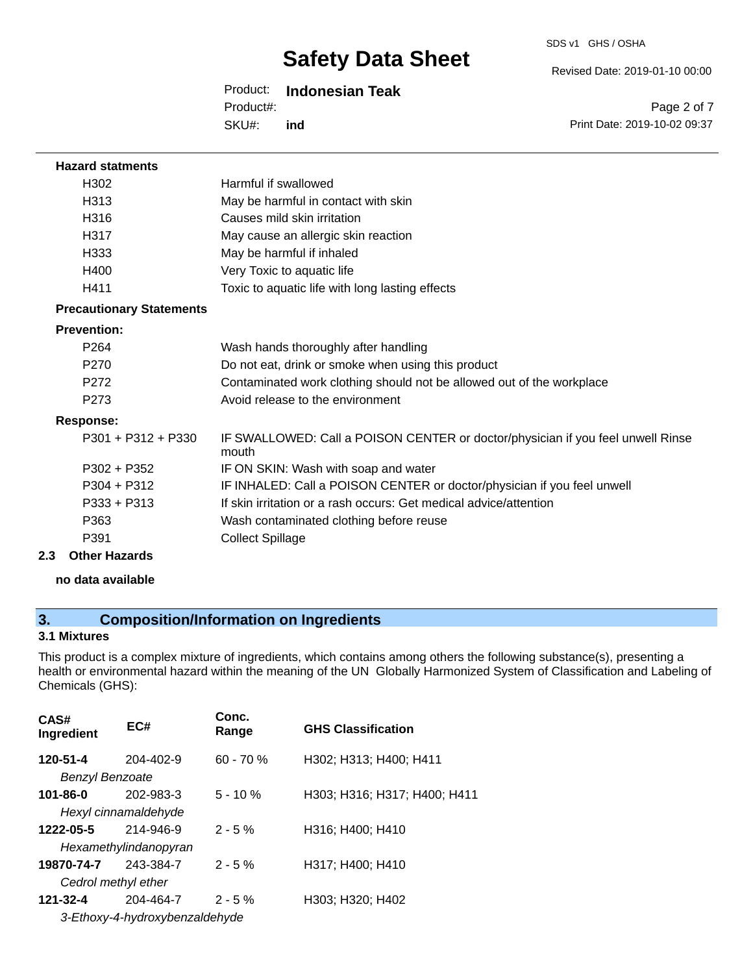#### Revised Date: 2019-01-10 00:00

Product: **Indonesian Teak** 

Product#:

SKU#: **ind**

Page 2 of 7 Print Date: 2019-10-02 09:37

| <b>Hazard statments</b>         |                                                                                          |
|---------------------------------|------------------------------------------------------------------------------------------|
| H302                            | Harmful if swallowed                                                                     |
| H <sub>313</sub>                | May be harmful in contact with skin                                                      |
| H316                            | Causes mild skin irritation                                                              |
| H317                            | May cause an allergic skin reaction                                                      |
| H333                            | May be harmful if inhaled                                                                |
| H400                            | Very Toxic to aquatic life                                                               |
| H411                            | Toxic to aquatic life with long lasting effects                                          |
| <b>Precautionary Statements</b> |                                                                                          |
| <b>Prevention:</b>              |                                                                                          |
| P <sub>264</sub>                | Wash hands thoroughly after handling                                                     |
| P270                            | Do not eat, drink or smoke when using this product                                       |
| P <sub>272</sub>                | Contaminated work clothing should not be allowed out of the workplace                    |
| P273                            | Avoid release to the environment                                                         |
| <b>Response:</b>                |                                                                                          |
| $P301 + P312 + P330$            | IF SWALLOWED: Call a POISON CENTER or doctor/physician if you feel unwell Rinse<br>mouth |
| $P302 + P352$                   | IF ON SKIN: Wash with soap and water                                                     |
| P304 + P312                     | IF INHALED: Call a POISON CENTER or doctor/physician if you feel unwell                  |
| $P333 + P313$                   | If skin irritation or a rash occurs: Get medical advice/attention                        |
| P363                            | Wash contaminated clothing before reuse                                                  |
| P391                            | <b>Collect Spillage</b>                                                                  |
| 2.3<br><b>Other Hazards</b>     |                                                                                          |

**no data available**

# **3. Composition/Information on Ingredients**

# **3.1 Mixtures**

This product is a complex mixture of ingredients, which contains among others the following substance(s), presenting a health or environmental hazard within the meaning of the UN Globally Harmonized System of Classification and Labeling of Chemicals (GHS):

| CAS#<br>Ingredient     | EC#                            | Conc.<br>Range | <b>GHS Classification</b>    |
|------------------------|--------------------------------|----------------|------------------------------|
| 120-51-4               | $204 - 402 - 9$                | $60 - 70 %$    | H302; H313; H400; H411       |
| <b>Benzyl Benzoate</b> |                                |                |                              |
| 101-86-0               | 202-983-3                      | $5 - 10 \%$    | H303; H316; H317; H400; H411 |
|                        | Hexyl cinnamaldehyde           |                |                              |
| 1222-05-5              | 214-946-9                      | $2 - 5%$       | H316; H400; H410             |
|                        | Hexamethylindanopyran          |                |                              |
| 19870-74-7             | 243-384-7                      | $2 - 5%$       | H317; H400; H410             |
|                        | Cedrol methyl ether            |                |                              |
| 121-32-4               | 204-464-7                      | $2 - 5%$       | H303; H320; H402             |
|                        | 3-Ethoxy-4-hydroxybenzaldehyde |                |                              |
|                        |                                |                |                              |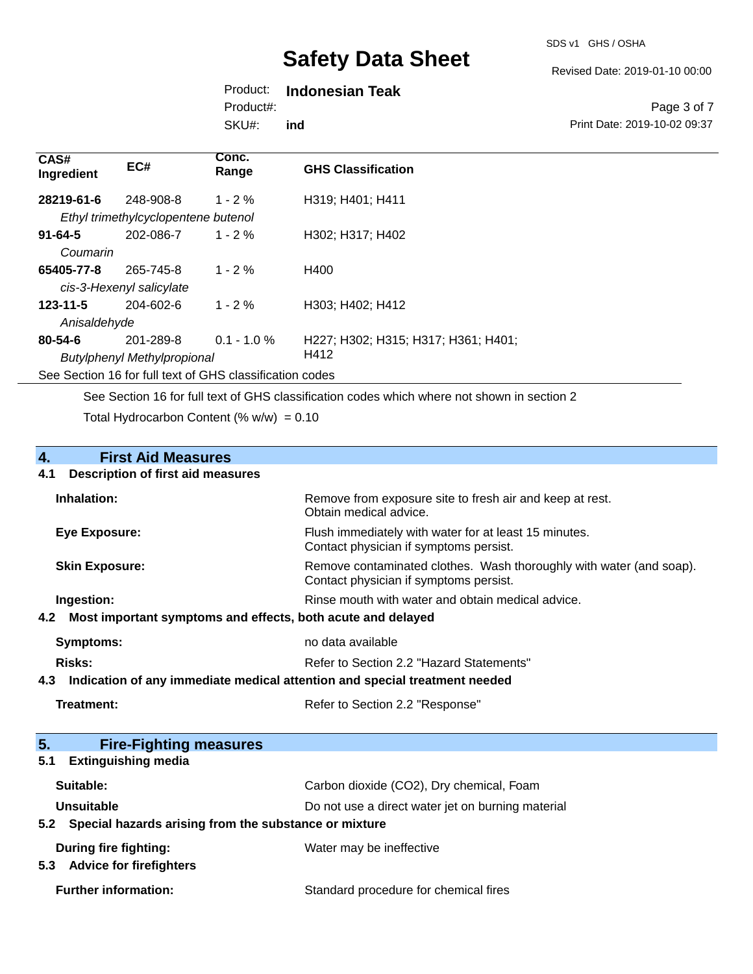Revised Date: 2019-01-10 00:00

# Product: **Indonesian Teak**

Product#:

SKU#: **ind**

#### Page 3 of 7 Print Date: 2019-10-02 09:37

| CAS#<br>Ingredient                                       | EC#                                 | Conc.<br>Range | <b>GHS Classification</b>           |
|----------------------------------------------------------|-------------------------------------|----------------|-------------------------------------|
| 28219-61-6                                               | 248-908-8                           | $1 - 2 \%$     | H319; H401; H411                    |
|                                                          | Ethyl trimethylcyclopentene butenol |                |                                     |
| $91 - 64 - 5$                                            | 202-086-7                           | $1 - 2\%$      | H302; H317; H402                    |
| Coumarin                                                 |                                     |                |                                     |
| 65405-77-8                                               | 265-745-8                           | $1 - 2\%$      | H400                                |
|                                                          | cis-3-Hexenyl salicylate            |                |                                     |
| $123 - 11 - 5$                                           | $204 - 602 - 6$                     | $1 - 2%$       | H303; H402; H412                    |
| Anisaldehyde                                             |                                     |                |                                     |
| 80-54-6                                                  | 201-289-8                           | $0.1 - 1.0 \%$ | H227; H302; H315; H317; H361; H401; |
|                                                          | <b>Butylphenyl Methylpropional</b>  |                | H412                                |
| See Section 16 for full text of GHS classification codes |                                     |                |                                     |

See Section 16 for full text of GHS classification codes which where not shown in section 2

Total Hydrocarbon Content (%  $w/w$ ) = 0.10

# **4.** First Aid Measures<br>**4.1** Description of first aid meas

#### **4.1 Description of first aid measures**

| Inhalation:                                                     | Remove from exposure site to fresh air and keep at rest.<br>Obtain medical advice.                            |
|-----------------------------------------------------------------|---------------------------------------------------------------------------------------------------------------|
| Eye Exposure:                                                   | Flush immediately with water for at least 15 minutes.<br>Contact physician if symptoms persist.               |
| <b>Skin Exposure:</b>                                           | Remove contaminated clothes. Wash thoroughly with water (and soap).<br>Contact physician if symptoms persist. |
| Ingestion:                                                      | Rinse mouth with water and obtain medical advice.                                                             |
| 4.2 Most important symptoms and effects, both acute and delayed |                                                                                                               |
| Symptoms:                                                       | no data available                                                                                             |
| <b>Risks:</b>                                                   | Refer to Section 2.2 "Hazard Statements"                                                                      |

## **4.3 Indication of any immediate medical attention and special treatment needed**

| Treatment: | Refer to Section 2.2 "Response" |
|------------|---------------------------------|
|------------|---------------------------------|

| 5.<br><b>Fire-Fighting measures</b>                       |                                                   |
|-----------------------------------------------------------|---------------------------------------------------|
| <b>Extinguishing media</b><br>5.1                         |                                                   |
| Suitable:                                                 | Carbon dioxide (CO2), Dry chemical, Foam          |
| Unsuitable                                                | Do not use a direct water jet on burning material |
| 5.2 Special hazards arising from the substance or mixture |                                                   |
| During fire fighting:                                     | Water may be ineffective                          |
| <b>Advice for firefighters</b><br>5.3                     |                                                   |
| <b>Further information:</b>                               | Standard procedure for chemical fires             |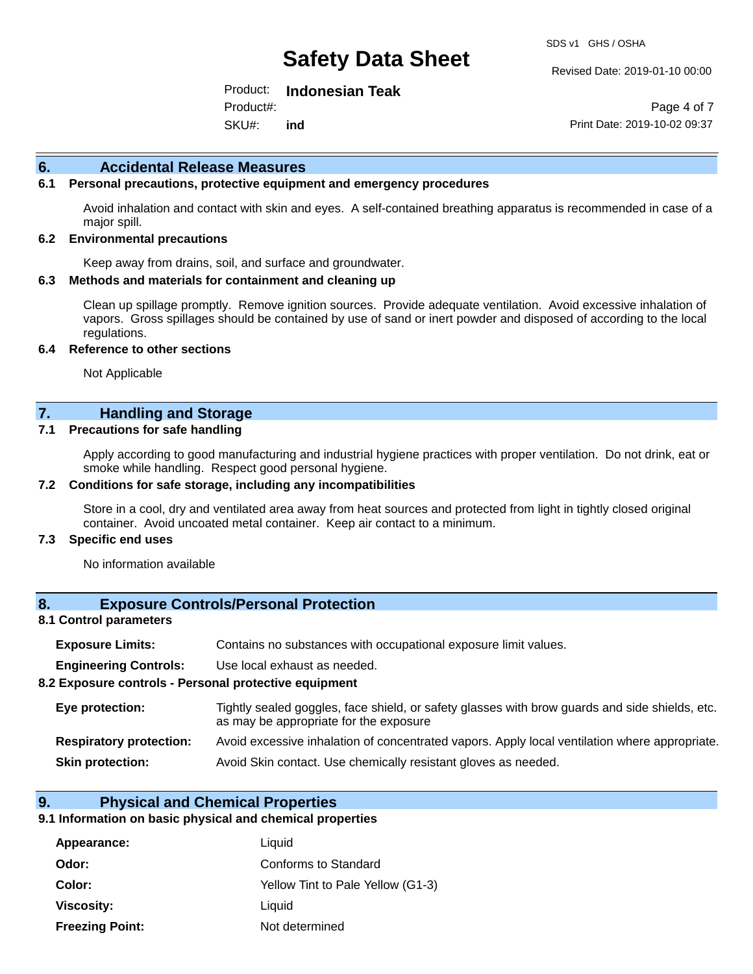#### Revised Date: 2019-01-10 00:00

Product: **Indonesian Teak**  Product#:

SKU#: **ind**

Page 4 of 7 Print Date: 2019-10-02 09:37

#### **6. Accidental Release Measures**

### **6.1 Personal precautions, protective equipment and emergency procedures**

Avoid inhalation and contact with skin and eyes. A self-contained breathing apparatus is recommended in case of a major spill.

#### **6.2 Environmental precautions**

Keep away from drains, soil, and surface and groundwater.

#### **6.3 Methods and materials for containment and cleaning up**

Clean up spillage promptly. Remove ignition sources. Provide adequate ventilation. Avoid excessive inhalation of vapors. Gross spillages should be contained by use of sand or inert powder and disposed of according to the local regulations.

#### **6.4 Reference to other sections**

Not Applicable

## **7. Handling and Storage**

#### **7.1 Precautions for safe handling**

Apply according to good manufacturing and industrial hygiene practices with proper ventilation. Do not drink, eat or smoke while handling. Respect good personal hygiene.

#### **7.2 Conditions for safe storage, including any incompatibilities**

Store in a cool, dry and ventilated area away from heat sources and protected from light in tightly closed original container. Avoid uncoated metal container. Keep air contact to a minimum.

#### **7.3 Specific end uses**

No information available

### **8. Exposure Controls/Personal Protection**

#### **8.1 Control parameters**

| <b>Exposure Limits:</b> |  |  |  | Contains no substances with occupational exposure limit values. |  |
|-------------------------|--|--|--|-----------------------------------------------------------------|--|
|-------------------------|--|--|--|-----------------------------------------------------------------|--|

**Engineering Controls:** Use local exhaust as needed.

#### **8.2 Exposure controls - Personal protective equipment**

| Eye protection:                | Tightly sealed goggles, face shield, or safety glasses with brow guards and side shields, etc.<br>as may be appropriate for the exposure |
|--------------------------------|------------------------------------------------------------------------------------------------------------------------------------------|
| <b>Respiratory protection:</b> | Avoid excessive inhalation of concentrated vapors. Apply local ventilation where appropriate.                                            |
| <b>Skin protection:</b>        | Avoid Skin contact. Use chemically resistant gloves as needed.                                                                           |

#### **9. Physical and Chemical Properties**

#### **9.1 Information on basic physical and chemical properties**

| Appearance:            | Liquid                            |
|------------------------|-----------------------------------|
| Odor:                  | <b>Conforms to Standard</b>       |
| Color:                 | Yellow Tint to Pale Yellow (G1-3) |
| Viscosity:             | Liquid                            |
| <b>Freezing Point:</b> | Not determined                    |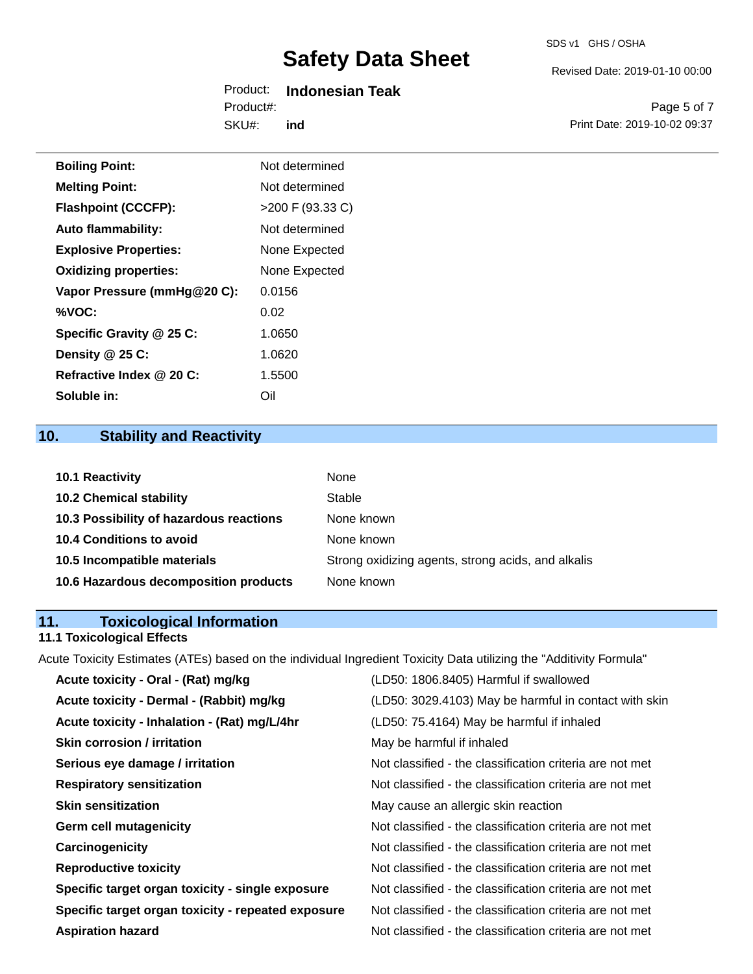| SDS v1 | GHS / OSHA |
|--------|------------|
|        |            |

Revised Date: 2019-01-10 00:00

|            | Product: Indonesian Teak |
|------------|--------------------------|
| Product#:  |                          |
| $SKU#$ ind |                          |

Page 5 of 7 Print Date: 2019-10-02 09:37

| <b>Boiling Point:</b>        | Not determined     |
|------------------------------|--------------------|
| <b>Melting Point:</b>        | Not determined     |
| <b>Flashpoint (CCCFP):</b>   | $>200$ F (93.33 C) |
| <b>Auto flammability:</b>    | Not determined     |
| <b>Explosive Properties:</b> | None Expected      |
| <b>Oxidizing properties:</b> | None Expected      |
| Vapor Pressure (mmHg@20 C):  | 0.0156             |
| %VOC:                        | 0.02               |
| Specific Gravity @ 25 C:     | 1.0650             |
| Density @ 25 C:              | 1.0620             |
| Refractive Index @ 20 C:     | 1.5500             |
| Soluble in:                  | Oil                |

# **10. Stability and Reactivity**

| 10.1 Reactivity                         | None                                               |
|-----------------------------------------|----------------------------------------------------|
| <b>10.2 Chemical stability</b>          | Stable                                             |
| 10.3 Possibility of hazardous reactions | None known                                         |
| 10.4 Conditions to avoid                | None known                                         |
| 10.5 Incompatible materials             | Strong oxidizing agents, strong acids, and alkalis |
| 10.6 Hazardous decomposition products   | None known                                         |

# **11. Toxicological Information**

# **11.1 Toxicological Effects**

Acute Toxicity Estimates (ATEs) based on the individual Ingredient Toxicity Data utilizing the "Additivity Formula"

| Acute toxicity - Oral - (Rat) mg/kg                | (LD50: 1806.8405) Harmful if swallowed                   |
|----------------------------------------------------|----------------------------------------------------------|
| Acute toxicity - Dermal - (Rabbit) mg/kg           | (LD50: 3029.4103) May be harmful in contact with skin    |
| Acute toxicity - Inhalation - (Rat) mg/L/4hr       | (LD50: 75.4164) May be harmful if inhaled                |
| <b>Skin corrosion / irritation</b>                 | May be harmful if inhaled                                |
| Serious eye damage / irritation                    | Not classified - the classification criteria are not met |
| <b>Respiratory sensitization</b>                   | Not classified - the classification criteria are not met |
| <b>Skin sensitization</b>                          | May cause an allergic skin reaction                      |
| <b>Germ cell mutagenicity</b>                      | Not classified - the classification criteria are not met |
| Carcinogenicity                                    | Not classified - the classification criteria are not met |
| <b>Reproductive toxicity</b>                       | Not classified - the classification criteria are not met |
| Specific target organ toxicity - single exposure   | Not classified - the classification criteria are not met |
| Specific target organ toxicity - repeated exposure | Not classified - the classification criteria are not met |
| <b>Aspiration hazard</b>                           | Not classified - the classification criteria are not met |
|                                                    |                                                          |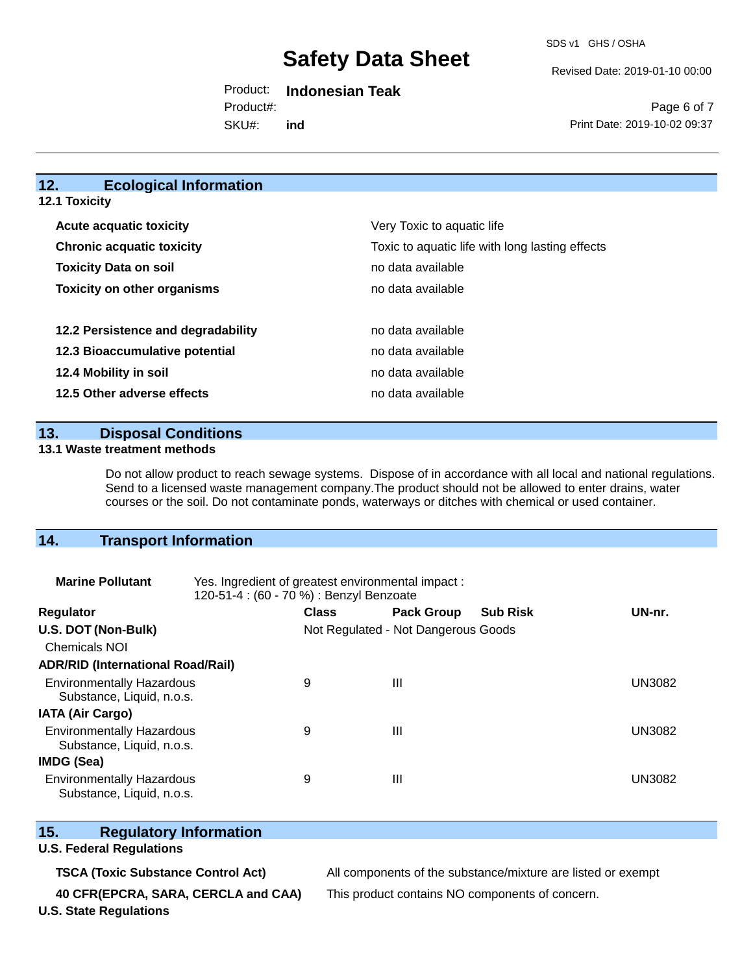SDS v1 GHS / OSHA

Revised Date: 2019-01-10 00:00

Product: **Indonesian Teak**  SKU#: Product#: **ind**

Page 6 of 7 Print Date: 2019-10-02 09:37

### **12. Ecological Information 12.1 Toxicity**

| <b>Acute acquatic toxicity</b>     | Very Toxic to aquatic life                      |
|------------------------------------|-------------------------------------------------|
| <b>Chronic acquatic toxicity</b>   | Toxic to aquatic life with long lasting effects |
| <b>Toxicity Data on soil</b>       | no data available                               |
| <b>Toxicity on other organisms</b> | no data available                               |
|                                    |                                                 |
| 12.2 Persistence and degradability | no data available                               |
| 12.3 Bioaccumulative potential     | no data available                               |
| 12.4 Mobility in soil              | no data available                               |
| 12.5 Other adverse effects         | no data available                               |

### **13. Disposal Conditions**

#### **13.1 Waste treatment methods**

Do not allow product to reach sewage systems. Dispose of in accordance with all local and national regulations. Send to a licensed waste management company.The product should not be allowed to enter drains, water courses or the soil. Do not contaminate ponds, waterways or ditches with chemical or used container.

# **14. Transport Information**

| <b>Marine Pollutant</b>                                       | Yes. Ingredient of greatest environmental impact:<br>120-51-4 : (60 - 70 %) : Benzyl Benzoate |                                     |                   |                 |               |
|---------------------------------------------------------------|-----------------------------------------------------------------------------------------------|-------------------------------------|-------------------|-----------------|---------------|
| <b>Regulator</b>                                              |                                                                                               | <b>Class</b>                        | <b>Pack Group</b> | <b>Sub Risk</b> | UN-nr.        |
| U.S. DOT (Non-Bulk)                                           |                                                                                               | Not Regulated - Not Dangerous Goods |                   |                 |               |
| <b>Chemicals NOI</b>                                          |                                                                                               |                                     |                   |                 |               |
| <b>ADR/RID (International Road/Rail)</b>                      |                                                                                               |                                     |                   |                 |               |
| <b>Environmentally Hazardous</b><br>Substance, Liquid, n.o.s. |                                                                                               | 9                                   | $\mathbf{III}$    |                 | UN3082        |
| <b>IATA (Air Cargo)</b>                                       |                                                                                               |                                     |                   |                 |               |
| <b>Environmentally Hazardous</b><br>Substance, Liquid, n.o.s. |                                                                                               | 9                                   | $\mathbf{III}$    |                 | <b>UN3082</b> |
| <b>IMDG (Sea)</b>                                             |                                                                                               |                                     |                   |                 |               |
| <b>Environmentally Hazardous</b><br>Substance, Liquid, n.o.s. |                                                                                               | 9                                   | Ш                 |                 | UN3082        |

# **15. Regulatory Information**

## **U.S. Federal Regulations**

**TSCA (Toxic Substance Control Act)** All components of the substance/mixture are listed or exempt

**40 CFR(EPCRA, SARA, CERCLA and CAA)** This product contains NO components of concern.

**U.S. State Regulations**